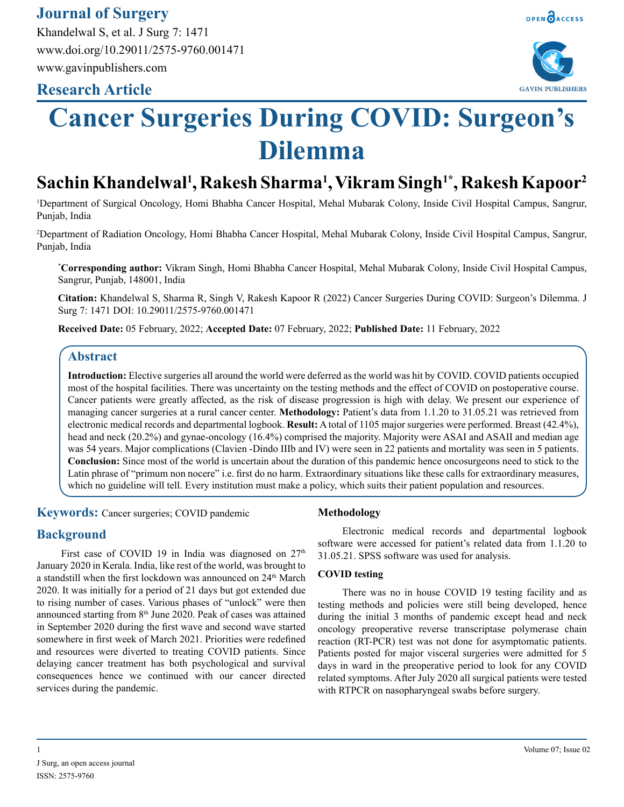# **Journal of Surgery**

Khandelwal S, et al. J Surg 7: 1471 www.doi.org/10.29011/2575-9760.001471 www.gavinpublishers.com

# **Research Article**





# **Cancer Surgeries During COVID: Surgeon's Dilemma**

# **Sachin Khandelwal1 , Rakesh Sharma1 , Vikram Singh1\*, Rakesh Kapoor2**

1 Department of Surgical Oncology, Homi Bhabha Cancer Hospital, Mehal Mubarak Colony, Inside Civil Hospital Campus, Sangrur, Punjab, India

2 Department of Radiation Oncology, Homi Bhabha Cancer Hospital, Mehal Mubarak Colony, Inside Civil Hospital Campus, Sangrur, Punjab, India

**\* Corresponding author:** Vikram Singh, Homi Bhabha Cancer Hospital, Mehal Mubarak Colony, Inside Civil Hospital Campus, Sangrur, Punjab, 148001, India

**Citation:** Khandelwal S, Sharma R, Singh V, Rakesh Kapoor R (2022) Cancer Surgeries During COVID: Surgeon's Dilemma. J Surg 7: 1471 DOI: 10.29011/2575-9760.001471

**Received Date:** 05 February, 2022; **Accepted Date:** 07 February, 2022; **Published Date:** 11 February, 2022

# **Abstract**

**Introduction:** Elective surgeries all around the world were deferred as the world was hit by COVID. COVID patients occupied most of the hospital facilities. There was uncertainty on the testing methods and the effect of COVID on postoperative course. Cancer patients were greatly affected, as the risk of disease progression is high with delay. We present our experience of managing cancer surgeries at a rural cancer center. **Methodology:** Patient's data from 1.1.20 to 31.05.21 was retrieved from electronic medical records and departmental logbook. **Result:** A total of 1105 major surgeries were performed. Breast (42.4%), head and neck (20.2%) and gynae-oncology (16.4%) comprised the majority. Majority were ASAI and ASAII and median age was 54 years. Major complications (Clavien -Dindo IIIb and IV) were seen in 22 patients and mortality was seen in 5 patients. **Conclusion:** Since most of the world is uncertain about the duration of this pandemic hence oncosurgeons need to stick to the Latin phrase of "primum non nocere" i.e. first do no harm. Extraordinary situations like these calls for extraordinary measures, which no guideline will tell. Every institution must make a policy, which suits their patient population and resources.

**Keywords:** Cancer surgeries; COVID pandemic

# **Background**

First case of COVID 19 in India was diagnosed on  $27<sup>th</sup>$ January 2020 in Kerala. India, like rest of the world, was brought to a standstill when the first lockdown was announced on 24<sup>th</sup> March 2020. It was initially for a period of 21 days but got extended due to rising number of cases. Various phases of "unlock" were then announced starting from 8<sup>th</sup> June 2020. Peak of cases was attained in September 2020 during the first wave and second wave started somewhere in first week of March 2021. Priorities were redefined and resources were diverted to treating COVID patients. Since delaying cancer treatment has both psychological and survival consequences hence we continued with our cancer directed services during the pandemic.

### **Methodology**

Electronic medical records and departmental logbook software were accessed for patient's related data from 1.1.20 to 31.05.21. SPSS software was used for analysis.

#### **COVID testing**

There was no in house COVID 19 testing facility and as testing methods and policies were still being developed, hence during the initial 3 months of pandemic except head and neck oncology preoperative reverse transcriptase polymerase chain reaction (RT-PCR) test was not done for asymptomatic patients. Patients posted for major visceral surgeries were admitted for 5 days in ward in the preoperative period to look for any COVID related symptoms. After July 2020 all surgical patients were tested with RTPCR on nasopharyngeal swabs before surgery.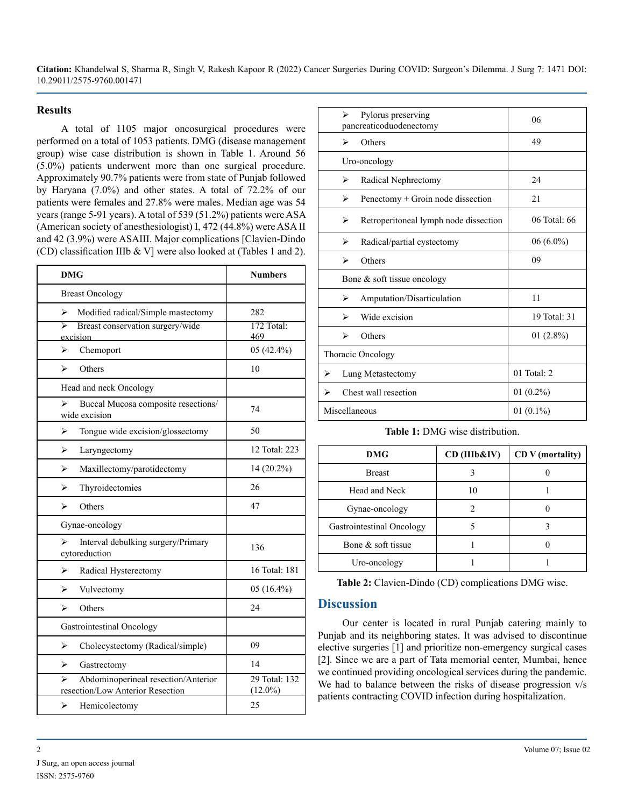**Citation:** Khandelwal S, Sharma R, Singh V, Rakesh Kapoor R (2022) Cancer Surgeries During COVID: Surgeon's Dilemma. J Surg 7: 1471 DOI: 10.29011/2575-9760.001471

#### **Results**

A total of 1105 major oncosurgical procedures were performed on a total of 1053 patients. DMG (disease management group) wise case distribution is shown in Table 1. Around 56 (5.0%) patients underwent more than one surgical procedure. Approximately 90.7% patients were from state of Punjab followed by Haryana (7.0%) and other states. A total of 72.2% of our patients were females and 27.8% were males. Median age was 54 years (range 5-91 years). A total of 539 (51.2%) patients were ASA (American society of anesthesiologist) I, 472 (44.8%) were ASA II and 42 (3.9%) were ASAIII. Major complications [Clavien-Dindo (CD) classification IIIb & V] were also looked at (Tables 1 and 2).

| <b>DMG</b>                                                                   | <b>Numbers</b>              |
|------------------------------------------------------------------------------|-----------------------------|
| <b>Breast Oncology</b>                                                       |                             |
| ⋗<br>Modified radical/Simple mastectomy                                      | 282                         |
| ↘<br>Breast conservation surgery/wide<br>excision                            | $172$ Total:<br>469         |
| Chemoport<br>⋗                                                               | 05 (42.4%)                  |
| Others<br>↘                                                                  | 10                          |
| Head and neck Oncology                                                       |                             |
| Buccal Mucosa composite resections/<br>⋗<br>wide excision                    | 74                          |
| ⋗<br>Tongue wide excision/glossectomy                                        | 50                          |
| ⋗<br>Laryngectomy                                                            | 12 Total: 223               |
| Maxillectomy/parotidectomy<br>⋗                                              | 14 (20.2%)                  |
| Thyroidectomies<br>↘                                                         | 26                          |
| Others<br>⋗                                                                  | 47                          |
| Gynae-oncology                                                               |                             |
| ↘<br>Interval debulking surgery/Primary<br>cytoreduction                     | 136                         |
| ↘<br>Radical Hysterectomy                                                    | 16 Total: 181               |
| ⋗<br>Vulvectomy                                                              | 05 (16.4%)                  |
| Others<br>⋗                                                                  | 24                          |
| Gastrointestinal Oncology                                                    |                             |
| ➤<br>Cholecystectomy (Radical/simple)                                        | 09                          |
| ➤<br>Gastrectomy                                                             | 14                          |
| ↘<br>Abdominoperineal resection/Anterior<br>resection/Low Anterior Resection | 29 Total: 132<br>$(12.0\%)$ |
| ⋗<br>Hemicolectomy                                                           | 25                          |

|                                | Pylorus preserving<br>⋗<br>pancreaticoduodenectomy |                                       | 06           |
|--------------------------------|----------------------------------------------------|---------------------------------------|--------------|
|                                | ↘                                                  | Others                                | 49           |
| Uro-oncology                   |                                                    |                                       |              |
|                                | ➤                                                  | Radical Nephrectomy                   | 24           |
|                                | ⋗                                                  | Penectomy + Groin node dissection     | 21           |
|                                | ⋗                                                  | Retroperitoneal lymph node dissection | 06 Total: 66 |
|                                | ➤                                                  | Radical/partial cystectomy            | $06(6.0\%)$  |
|                                | ⋗                                                  | Others                                | 09           |
| Bone $\&$ soft tissue oncology |                                                    |                                       |              |
|                                | ➤                                                  | Amputation/Disarticulation            | 11           |
|                                | ⋗                                                  | Wide excision                         | 19 Total: 31 |
|                                | ↘                                                  | Others                                | $01(2.8\%)$  |
| Thoracic Oncology              |                                                    |                                       |              |
| ⋗                              | Lung Metastectomy                                  |                                       | 01 Total: 2  |
| ⋗                              | Chest wall resection                               |                                       | 01 $(0.2\%)$ |
| Miscellaneous                  |                                                    |                                       | 01 $(0.1\%)$ |

**Table 1:** DMG wise distribution.

| <b>DMG</b>                | CD (IIIb&IV) | CD V (mortality) |
|---------------------------|--------------|------------------|
| <b>Breast</b>             |              |                  |
| Head and Neck             |              |                  |
| Gynae-oncology            |              |                  |
| Gastrointestinal Oncology |              |                  |
| Bone & soft tissue        |              |                  |
| Uro-oncology              |              |                  |

**Table 2:** Clavien-Dindo (CD) complications DMG wise.

# **Discussion**

Our center is located in rural Punjab catering mainly to Punjab and its neighboring states. It was advised to discontinue elective surgeries [1] and prioritize non-emergency surgical cases [2]. Since we are a part of Tata memorial center, Mumbai, hence we continued providing oncological services during the pandemic. We had to balance between the risks of disease progression v/s patients contracting COVID infection during hospitalization.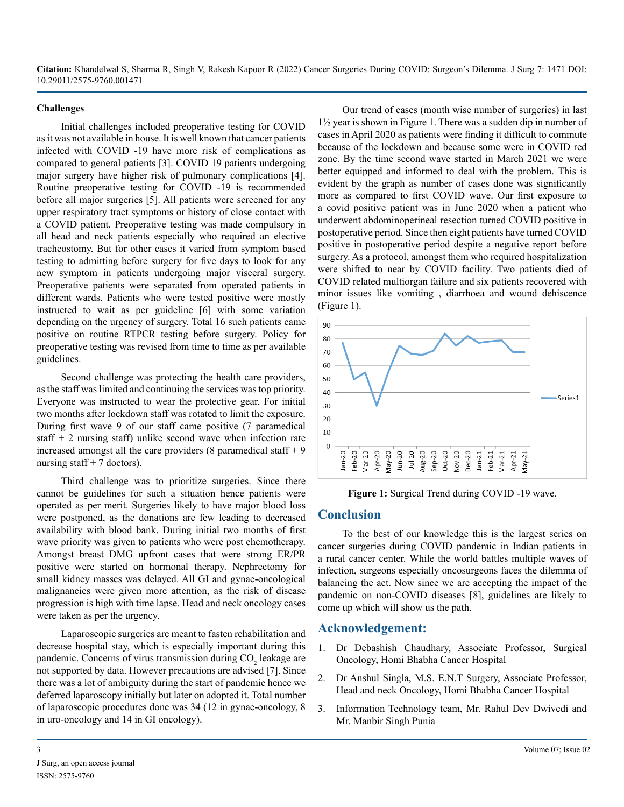**Citation:** Khandelwal S, Sharma R, Singh V, Rakesh Kapoor R (2022) Cancer Surgeries During COVID: Surgeon's Dilemma. J Surg 7: 1471 DOI: 10.29011/2575-9760.001471

#### **Challenges**

Initial challenges included preoperative testing for COVID as it was not available in house. It is well known that cancer patients infected with COVID -19 have more risk of complications as compared to general patients [3]. COVID 19 patients undergoing major surgery have higher risk of pulmonary complications [4]. Routine preoperative testing for COVID -19 is recommended before all major surgeries [5]. All patients were screened for any upper respiratory tract symptoms or history of close contact with a COVID patient. Preoperative testing was made compulsory in all head and neck patients especially who required an elective tracheostomy. But for other cases it varied from symptom based testing to admitting before surgery for five days to look for any new symptom in patients undergoing major visceral surgery. Preoperative patients were separated from operated patients in different wards. Patients who were tested positive were mostly instructed to wait as per guideline [6] with some variation depending on the urgency of surgery. Total 16 such patients came positive on routine RTPCR testing before surgery. Policy for preoperative testing was revised from time to time as per available guidelines.

Second challenge was protecting the health care providers, as the staff was limited and continuing the services was top priority. Everyone was instructed to wear the protective gear. For initial two months after lockdown staff was rotated to limit the exposure. During first wave 9 of our staff came positive (7 paramedical staff  $+$  2 nursing staff) unlike second wave when infection rate increased amongst all the care providers  $(8 \text{ paramedical staff} + 9 \text{)}$ nursing staff  $+ 7$  doctors).

Third challenge was to prioritize surgeries. Since there cannot be guidelines for such a situation hence patients were operated as per merit. Surgeries likely to have major blood loss were postponed, as the donations are few leading to decreased availability with blood bank. During initial two months of first wave priority was given to patients who were post chemotherapy. Amongst breast DMG upfront cases that were strong ER/PR positive were started on hormonal therapy. Nephrectomy for small kidney masses was delayed. All GI and gynae-oncological malignancies were given more attention, as the risk of disease progression is high with time lapse. Head and neck oncology cases were taken as per the urgency.

Laparoscopic surgeries are meant to fasten rehabilitation and decrease hospital stay, which is especially important during this pandemic. Concerns of virus transmission during  $CO<sub>2</sub>$  leakage are not supported by data. However precautions are advised [7]. Since there was a lot of ambiguity during the start of pandemic hence we deferred laparoscopy initially but later on adopted it. Total number of laparoscopic procedures done was 34 (12 in gynae-oncology, 8 in uro-oncology and 14 in GI oncology).

Our trend of cases (month wise number of surgeries) in last 1½ year is shown in Figure 1. There was a sudden dip in number of cases in April 2020 as patients were finding it difficult to commute because of the lockdown and because some were in COVID red zone. By the time second wave started in March 2021 we were better equipped and informed to deal with the problem. This is evident by the graph as number of cases done was significantly more as compared to first COVID wave. Our first exposure to a covid positive patient was in June 2020 when a patient who underwent abdominoperineal resection turned COVID positive in postoperative period. Since then eight patients have turned COVID positive in postoperative period despite a negative report before surgery. As a protocol, amongst them who required hospitalization were shifted to near by COVID facility. Two patients died of COVID related multiorgan failure and six patients recovered with minor issues like vomiting , diarrhoea and wound dehiscence (Figure 1).



**Figure 1:** Surgical Trend during COVID -19 wave.

## **Conclusion**

To the best of our knowledge this is the largest series on cancer surgeries during COVID pandemic in Indian patients in a rural cancer center. While the world battles multiple waves of infection, surgeons especially oncosurgeons faces the dilemma of balancing the act. Now since we are accepting the impact of the pandemic on non-COVID diseases [8], guidelines are likely to come up which will show us the path.

#### **Acknowledgement:**

- 1. Dr Debashish Chaudhary, Associate Professor, Surgical Oncology, Homi Bhabha Cancer Hospital
- 2. Dr Anshul Singla, M.S. E.N.T Surgery, Associate Professor, Head and neck Oncology, Homi Bhabha Cancer Hospital
- 3. Information Technology team, Mr. Rahul Dev Dwivedi and Mr. Manbir Singh Punia